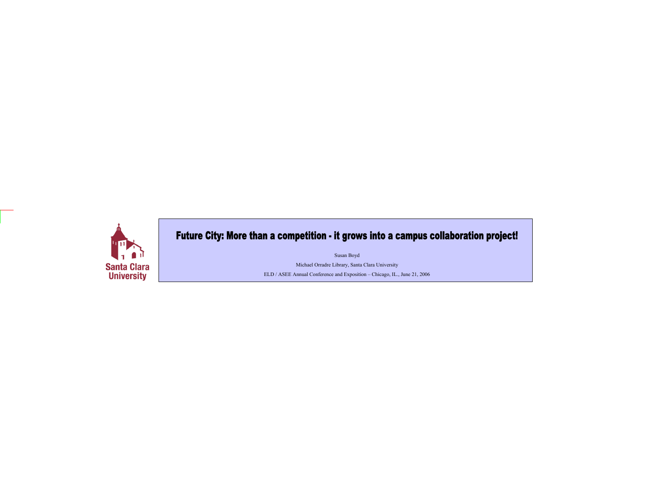